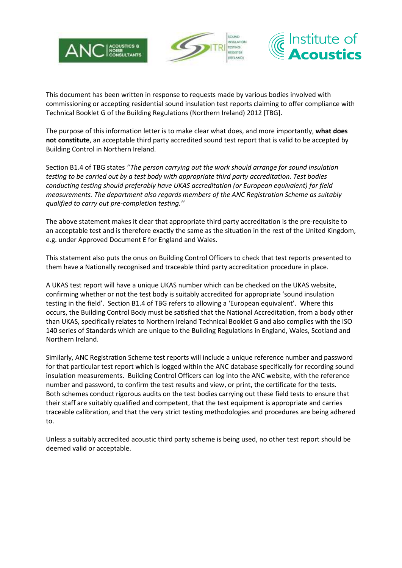





This document has been written in response to requests made by various bodies involved with commissioning or accepting residential sound insulation test reports claiming to offer compliance with Technical Booklet G of the Building Regulations (Northern Ireland) 2012 [TBG].

The purpose of this information letter is to make clear what does, and more importantly, **what does not constitute**, an acceptable third party accredited sound test report that is valid to be accepted by Building Control in Northern Ireland.

Section B1.4 of TBG states *''The person carrying out the work should arrange for sound insulation testing to be carried out by a test body with appropriate third party accreditation. Test bodies conducting testing should preferably have UKAS accreditation (or European equivalent) for field measurements. The department also regards members of the ANC Registration Scheme as suitably qualified to carry out pre-completion testing.''*

The above statement makes it clear that appropriate third party accreditation is the pre-requisite to an acceptable test and is therefore exactly the same as the situation in the rest of the United Kingdom, e.g. under Approved Document E for England and Wales.

This statement also puts the onus on Building Control Officers to check that test reports presented to them have a Nationally recognised and traceable third party accreditation procedure in place.

A UKAS test report will have a unique UKAS number which can be checked on the UKAS website, confirming whether or not the test body is suitably accredited for appropriate 'sound insulation testing in the field'. Section B1.4 of TBG refers to allowing a 'European equivalent'. Where this occurs, the Building Control Body must be satisfied that the National Accreditation, from a body other than UKAS, specifically relates to Northern Ireland Technical Booklet G and also complies with the ISO 140 series of Standards which are unique to the Building Regulations in England, Wales, Scotland and Northern Ireland.

Similarly, ANC Registration Scheme test reports will include a unique reference number and password for that particular test report which is logged within the ANC database specifically for recording sound insulation measurements. Building Control Officers can log into the ANC website, with the reference number and password, to confirm the test results and view, or print, the certificate for the tests. Both schemes conduct rigorous audits on the test bodies carrying out these field tests to ensure that their staff are suitably qualified and competent, that the test equipment is appropriate and carries traceable calibration, and that the very strict testing methodologies and procedures are being adhered to.

Unless a suitably accredited acoustic third party scheme is being used, no other test report should be deemed valid or acceptable.